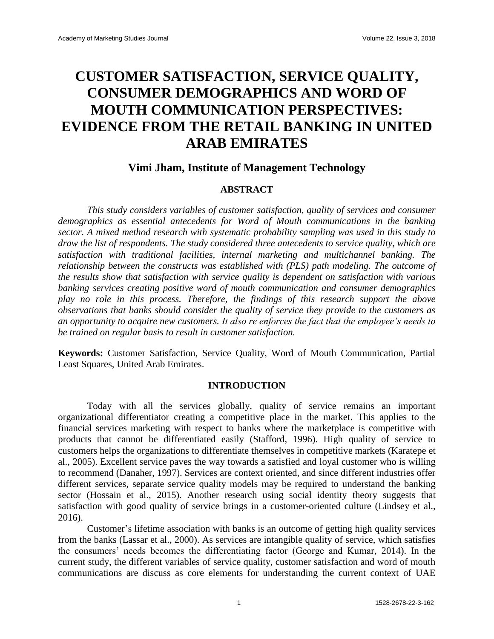## **CUSTOMER SATISFACTION, SERVICE QUALITY, CONSUMER DEMOGRAPHICS AND WORD OF MOUTH COMMUNICATION PERSPECTIVES: EVIDENCE FROM THE RETAIL BANKING IN UNITED ARAB EMIRATES**

## **Vimi Jham, Institute of Management Technology**

#### **ABSTRACT**

*This study considers variables of customer satisfaction, quality of services and consumer demographics as essential antecedents for Word of Mouth communications in the banking sector. A mixed method research with systematic probability sampling was used in this study to draw the list of respondents. The study considered three antecedents to service quality, which are satisfaction with traditional facilities, internal marketing and multichannel banking. The relationship between the constructs was established with (PLS) path modeling. The outcome of the results show that satisfaction with service quality is dependent on satisfaction with various banking services creating positive word of mouth communication and consumer demographics play no role in this process. Therefore, the findings of this research support the above observations that banks should consider the quality of service they provide to the customers as an opportunity to acquire new customers. It also re enforces the fact that the employee's needs to be trained on regular basis to result in customer satisfaction.*

**Keywords:** Customer Satisfaction, Service Quality, Word of Mouth Communication, Partial Least Squares, United Arab Emirates.

#### **INTRODUCTION**

Today with all the services globally, quality of service remains an important organizational differentiator creating a competitive place in the market. This applies to the financial services marketing with respect to banks where the marketplace is competitive with products that cannot be differentiated easily (Stafford, 1996). High quality of service to customers helps the organizations to differentiate themselves in competitive markets (Karatepe et al., 2005). Excellent service paves the way towards a satisfied and loyal customer who is willing to recommend (Danaher, 1997). Services are context oriented, and since different industries offer different services, separate service quality models may be required to understand the banking sector (Hossain et al., 2015). Another research using social identity theory suggests that satisfaction with good quality of service brings in a customer-oriented culture (Lindsey et al., 2016).

Customer's lifetime association with banks is an outcome of getting high quality services from the banks (Lassar et al., 2000). As services are intangible quality of service, which satisfies the consumers' needs becomes the differentiating factor (George and Kumar, 2014). In the current study, the different variables of service quality, customer satisfaction and word of mouth communications are discuss as core elements for understanding the current context of UAE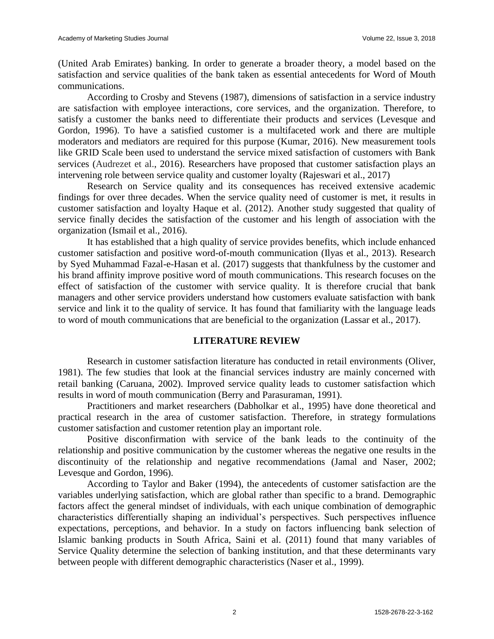(United Arab Emirates) banking. In order to generate a broader theory, a model based on the satisfaction and service qualities of the bank taken as essential antecedents for Word of Mouth communications.

According to Crosby and Stevens (1987), dimensions of satisfaction in a service industry are satisfaction with employee interactions, core services, and the organization. Therefore, to satisfy a customer the banks need to differentiate their products and services (Levesque and Gordon, 1996). To have a satisfied customer is a multifaceted work and there are multiple moderators and mediators are required for this purpose (Kumar, 2016). New measurement tools like GRID Scale been used to understand the service mixed satisfaction of customers with Bank services (Audrezet et al., 2016). Researchers have proposed that customer satisfaction plays an intervening role between service quality and customer loyalty (Rajeswari et al., 2017)

Research on Service quality and its consequences has received extensive academic findings for over three decades. When the service quality need of customer is met, it results in customer satisfaction and loyalty Haque et al. (2012). Another study suggested that quality of service finally decides the satisfaction of the customer and his length of association with the organization (Ismail et al., 2016).

It has established that a high quality of service provides benefits, which include enhanced customer satisfaction and positive word-of-mouth communication (Ilyas et al., 2013). Research by Syed Muhammad Fazal-e-Hasan et al. (2017) suggests that thankfulness by the customer and his brand affinity improve positive word of mouth communications. This research focuses on the effect of satisfaction of the customer with service quality. It is therefore crucial that bank managers and other service providers understand how customers evaluate satisfaction with bank service and link it to the quality of service. It has found that familiarity with the language leads to word of mouth communications that are beneficial to the organization (Lassar et al., 2017).

#### **LITERATURE REVIEW**

Research in customer satisfaction literature has conducted in retail environments (Oliver, 1981). The few studies that look at the financial services industry are mainly concerned with retail banking (Caruana, 2002). Improved service quality leads to customer satisfaction which results in word of mouth communication (Berry and Parasuraman, 1991).

Practitioners and market researchers (Dabholkar et al., 1995) have done theoretical and practical research in the area of customer satisfaction. Therefore, in strategy formulations customer satisfaction and customer retention play an important role.

Positive disconfirmation with service of the bank leads to the continuity of the relationship and positive communication by the customer whereas the negative one results in the discontinuity of the relationship and negative recommendations (Jamal and Naser, 2002; Levesque and Gordon, 1996).

According to Taylor and Baker (1994), the antecedents of customer satisfaction are the variables underlying satisfaction, which are global rather than specific to a brand. Demographic factors affect the general mindset of individuals, with each unique combination of demographic characteristics differentially shaping an individual's perspectives. Such perspectives influence expectations, perceptions, and behavior. In a study on factors influencing bank selection of Islamic banking products in South Africa, Saini et al. (2011) found that many variables of Service Quality determine the selection of banking institution, and that these determinants vary between people with different demographic characteristics (Naser et al., 1999).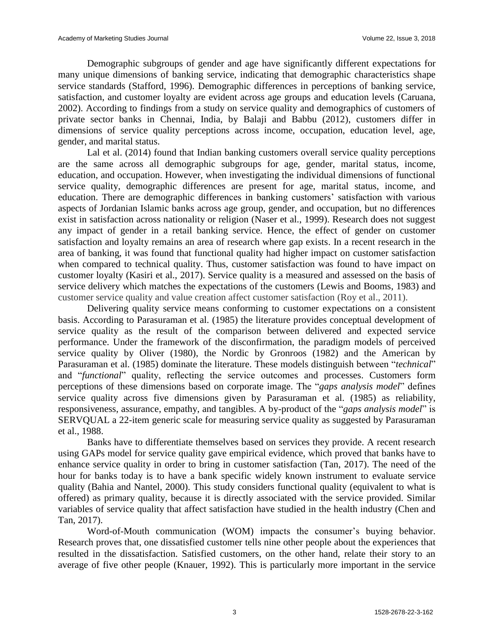Demographic subgroups of gender and age have significantly different expectations for many unique dimensions of banking service, indicating that demographic characteristics shape service standards (Stafford, 1996). Demographic differences in perceptions of banking service, satisfaction, and customer loyalty are evident across age groups and education levels (Caruana, 2002). According to findings from a study on service quality and demographics of customers of private sector banks in Chennai, India, by Balaji and Babbu (2012), customers differ in dimensions of service quality perceptions across income, occupation, education level, age, gender, and marital status.

Lal et al. (2014) found that Indian banking customers overall service quality perceptions are the same across all demographic subgroups for age, gender, marital status, income, education, and occupation. However, when investigating the individual dimensions of functional service quality, demographic differences are present for age, marital status, income, and education. There are demographic differences in banking customers' satisfaction with various aspects of Jordanian Islamic banks across age group, gender, and occupation, but no differences exist in satisfaction across nationality or religion (Naser et al., 1999). Research does not suggest any impact of gender in a retail banking service. Hence, the effect of gender on customer satisfaction and loyalty remains an area of research where gap exists. In a recent research in the area of banking, it was found that functional quality had higher impact on customer satisfaction when compared to technical quality. Thus, customer satisfaction was found to have impact on customer loyalty (Kasiri et al., 2017). Service quality is a measured and assessed on the basis of service delivery which matches the expectations of the customers (Lewis and Booms, 1983) and customer service quality and value creation affect customer satisfaction (Roy et al., 2011).

Delivering quality service means conforming to customer expectations on a consistent basis. According to Parasuraman et al. (1985) the literature provides conceptual development of service quality as the result of the comparison between delivered and expected service performance. Under the framework of the disconfirmation, the paradigm models of perceived service quality by Oliver (1980), the Nordic by Gronroos (1982) and the American by Parasuraman et al. (1985) dominate the literature. These models distinguish between "*technical*" and "*functional*" quality, reflecting the service outcomes and processes. Customers form perceptions of these dimensions based on corporate image. The "*gaps analysis model*" defines service quality across five dimensions given by Parasuraman et al. (1985) as reliability, responsiveness, assurance, empathy, and tangibles. A by-product of the "*gaps analysis model*" is SERVQUAL a 22-item generic scale for measuring service quality as suggested by Parasuraman et al., 1988.

Banks have to differentiate themselves based on services they provide. A recent research using GAPs model for service quality gave empirical evidence, which proved that banks have to enhance service quality in order to bring in customer satisfaction (Tan, 2017). The need of the hour for banks today is to have a bank specific widely known instrument to evaluate service quality (Bahia and Nantel, 2000). This study considers functional quality (equivalent to what is offered) as primary quality, because it is directly associated with the service provided. Similar variables of service quality that affect satisfaction have studied in the health industry (Chen and Tan, 2017).

Word-of-Mouth communication (WOM) impacts the consumer's buying behavior. Research proves that, one dissatisfied customer tells nine other people about the experiences that resulted in the dissatisfaction. Satisfied customers, on the other hand, relate their story to an average of five other people (Knauer, 1992). This is particularly more important in the service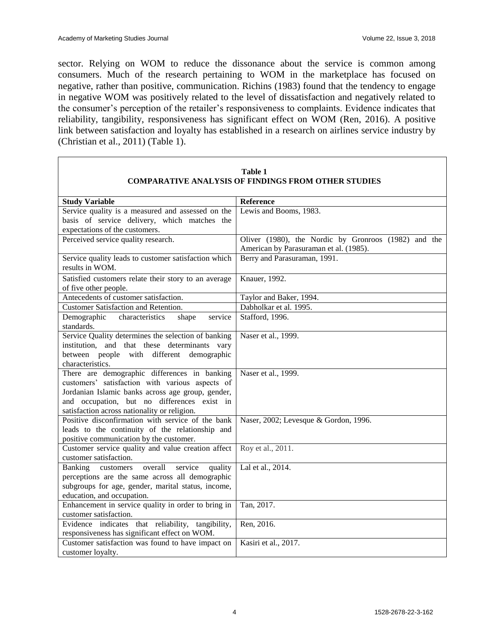sector. Relying on WOM to reduce the dissonance about the service is common among consumers. Much of the research pertaining to WOM in the marketplace has focused on negative, rather than positive, communication. Richins (1983) found that the tendency to engage in negative WOM was positively related to the level of dissatisfaction and negatively related to the consumer's perception of the retailer's responsiveness to complaints. Evidence indicates that reliability, tangibility, responsiveness has significant effect on WOM (Ren, 2016). A positive link between satisfaction and loyalty has established in a research on airlines service industry by (Christian et al., 2011) (Table 1).

| <b>COMPARATIVE ANALYSIS OF FINDINGS FROM OTHER STUDIES</b>                                        |                                                      |  |
|---------------------------------------------------------------------------------------------------|------------------------------------------------------|--|
| <b>Study Variable</b>                                                                             | Reference                                            |  |
| Service quality is a measured and assessed on the                                                 | Lewis and Booms, 1983.                               |  |
| basis of service delivery, which matches the                                                      |                                                      |  |
| expectations of the customers.                                                                    |                                                      |  |
| Perceived service quality research.                                                               | Oliver (1980), the Nordic by Gronroos (1982) and the |  |
|                                                                                                   | American by Parasuraman et al. (1985).               |  |
| Service quality leads to customer satisfaction which                                              | Berry and Parasuraman, 1991.                         |  |
| results in WOM.                                                                                   |                                                      |  |
| Satisfied customers relate their story to an average                                              | Knauer, 1992.                                        |  |
| of five other people.                                                                             |                                                      |  |
| Antecedents of customer satisfaction.                                                             | Taylor and Baker, 1994.                              |  |
| Customer Satisfaction and Retention.                                                              | Dabholkar et al. 1995.                               |  |
| Demographic<br>characteristics<br>shape<br>service                                                | Stafford, 1996.                                      |  |
| standards.                                                                                        |                                                      |  |
| Service Quality determines the selection of banking                                               | Naser et al., 1999.                                  |  |
| institution, and that these determinants vary                                                     |                                                      |  |
| between people with different demographic                                                         |                                                      |  |
| characteristics.                                                                                  |                                                      |  |
| There are demographic differences in banking                                                      | Naser et al., 1999.                                  |  |
| customers' satisfaction with various aspects of                                                   |                                                      |  |
| Jordanian Islamic banks across age group, gender,                                                 |                                                      |  |
| and occupation, but no differences exist in                                                       |                                                      |  |
| satisfaction across nationality or religion.<br>Positive disconfirmation with service of the bank |                                                      |  |
|                                                                                                   | Naser, 2002; Levesque & Gordon, 1996.                |  |
| leads to the continuity of the relationship and<br>positive communication by the customer.        |                                                      |  |
| Customer service quality and value creation affect                                                | Roy et al., 2011.                                    |  |
| customer satisfaction.                                                                            |                                                      |  |
| Banking customers<br>overall<br>service<br>quality                                                | Lal et al., 2014.                                    |  |
| perceptions are the same across all demographic                                                   |                                                      |  |
| subgroups for age, gender, marital status, income,                                                |                                                      |  |
| education, and occupation.                                                                        |                                                      |  |
| Enhancement in service quality in order to bring in                                               | Tan, 2017.                                           |  |
| customer satisfaction.                                                                            |                                                      |  |
| Evidence indicates that reliability, tangibility,                                                 | Ren, 2016.                                           |  |
| responsiveness has significant effect on WOM.                                                     |                                                      |  |
| Customer satisfaction was found to have impact on                                                 | Kasiri et al., 2017.                                 |  |
| customer loyalty.                                                                                 |                                                      |  |

# **Table 1**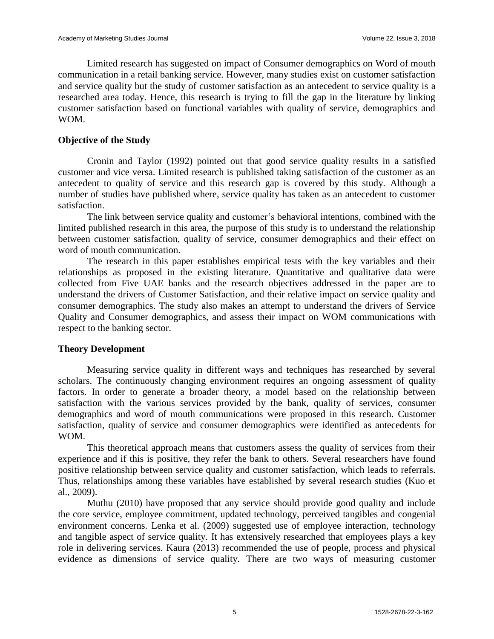Limited research has suggested on impact of Consumer demographics on Word of mouth communication in a retail banking service. However, many studies exist on customer satisfaction and service quality but the study of customer satisfaction as an antecedent to service quality is a researched area today. Hence, this research is trying to fill the gap in the literature by linking customer satisfaction based on functional variables with quality of service, demographics and WOM.

#### **Objective of the Study**

Cronin and Taylor (1992) pointed out that good service quality results in a satisfied customer and vice versa. Limited research is published taking satisfaction of the customer as an antecedent to quality of service and this research gap is covered by this study. Although a number of studies have published where, service quality has taken as an antecedent to customer satisfaction.

The link between service quality and customer's behavioral intentions, combined with the limited published research in this area, the purpose of this study is to understand the relationship between customer satisfaction, quality of service, consumer demographics and their effect on word of mouth communication.

The research in this paper establishes empirical tests with the key variables and their relationships as proposed in the existing literature. Quantitative and qualitative data were collected from Five UAE banks and the research objectives addressed in the paper are to understand the drivers of Customer Satisfaction, and their relative impact on service quality and consumer demographics. The study also makes an attempt to understand the drivers of Service Quality and Consumer demographics, and assess their impact on WOM communications with respect to the banking sector.

#### **Theory Development**

Measuring service quality in different ways and techniques has researched by several scholars. The continuously changing environment requires an ongoing assessment of quality factors. In order to generate a broader theory, a model based on the relationship between satisfaction with the various services provided by the bank, quality of services, consumer demographics and word of mouth communications were proposed in this research. Customer satisfaction, quality of service and consumer demographics were identified as antecedents for WOM.

This theoretical approach means that customers assess the quality of services from their experience and if this is positive, they refer the bank to others. Several researchers have found positive relationship between service quality and customer satisfaction, which leads to referrals. Thus, relationships among these variables have established by several research studies (Kuo et al., 2009).

Muthu (2010) have proposed that any service should provide good quality and include the core service, employee commitment, updated technology, perceived tangibles and congenial environment concerns. Lenka et al. (2009) suggested use of employee interaction, technology and tangible aspect of service quality. It has extensively researched that employees plays a key role in delivering services. Kaura (2013) recommended the use of people, process and physical evidence as dimensions of service quality. There are two ways of measuring customer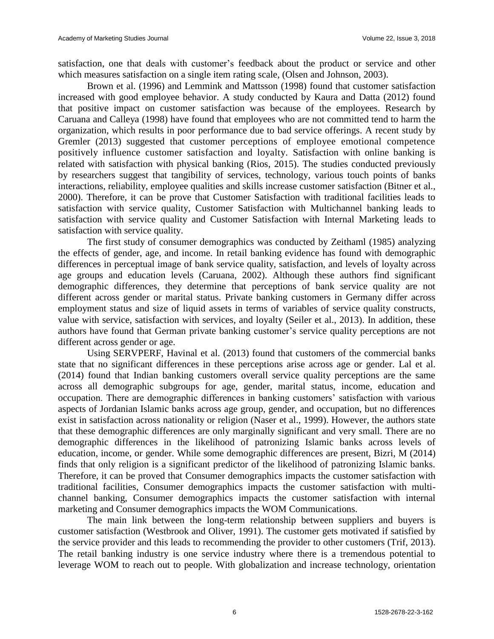satisfaction, one that deals with customer's feedback about the product or service and other which measures satisfaction on a single item rating scale, (Olsen and Johnson, 2003).

Brown et al. (1996) and Lemmink and Mattsson (1998) found that customer satisfaction increased with good employee behavior. A study conducted by Kaura and Datta (2012) found that positive impact on customer satisfaction was because of the employees. Research by Caruana and Calleya (1998) have found that employees who are not committed tend to harm the organization, which results in poor performance due to bad service offerings. A recent study by Gremler (2013) suggested that customer perceptions of employee emotional competence positively influence customer satisfaction and loyalty. Satisfaction with online banking is related with satisfaction with physical banking (Rios, 2015). The studies conducted previously by researchers suggest that tangibility of services, technology, various touch points of banks interactions, reliability, employee qualities and skills increase customer satisfaction (Bitner et al., 2000). Therefore, it can be prove that Customer Satisfaction with traditional facilities leads to satisfaction with service quality, Customer Satisfaction with Multichannel banking leads to satisfaction with service quality and Customer Satisfaction with Internal Marketing leads to satisfaction with service quality.

The first study of consumer demographics was conducted by Zeithaml (1985) analyzing the effects of gender, age, and income. In retail banking evidence has found with demographic differences in perceptual image of bank service quality, satisfaction, and levels of loyalty across age groups and education levels (Caruana, 2002). Although these authors find significant demographic differences, they determine that perceptions of bank service quality are not different across gender or marital status. Private banking customers in Germany differ across employment status and size of liquid assets in terms of variables of service quality constructs, value with service, satisfaction with services, and loyalty (Seiler et al., 2013). In addition, these authors have found that German private banking customer's service quality perceptions are not different across gender or age.

Using SERVPERF, Havinal et al. (2013) found that customers of the commercial banks state that no significant differences in these perceptions arise across age or gender. Lal et al. (2014) found that Indian banking customers overall service quality perceptions are the same across all demographic subgroups for age, gender, marital status, income, education and occupation. There are demographic differences in banking customers' satisfaction with various aspects of Jordanian Islamic banks across age group, gender, and occupation, but no differences exist in satisfaction across nationality or religion (Naser et al., 1999). However, the authors state that these demographic differences are only marginally significant and very small. There are no demographic differences in the likelihood of patronizing Islamic banks across levels of education, income, or gender. While some demographic differences are present, Bizri, M (2014) finds that only religion is a significant predictor of the likelihood of patronizing Islamic banks. Therefore, it can be proved that Consumer demographics impacts the customer satisfaction with traditional facilities, Consumer demographics impacts the customer satisfaction with multichannel banking, Consumer demographics impacts the customer satisfaction with internal marketing and Consumer demographics impacts the WOM Communications.

The main link between the long-term relationship between suppliers and buyers is customer satisfaction (Westbrook and Oliver, 1991). The customer gets motivated if satisfied by the service provider and this leads to recommending the provider to other customers (Trif, 2013). The retail banking industry is one service industry where there is a tremendous potential to leverage WOM to reach out to people. With globalization and increase technology, orientation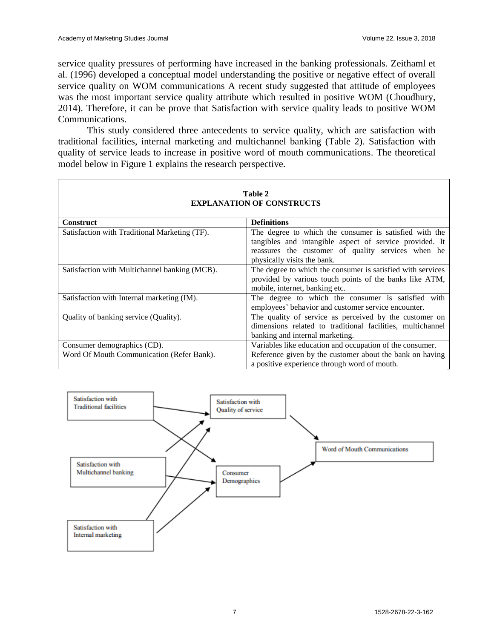service quality pressures of performing have increased in the banking professionals. Zeithaml et al. (1996) developed a conceptual model understanding the positive or negative effect of overall service quality on WOM communications A recent study suggested that attitude of employees was the most important service quality attribute which resulted in positive WOM (Choudhury, 2014). Therefore, it can be prove that Satisfaction with service quality leads to positive WOM Communications.

This study considered three antecedents to service quality, which are satisfaction with traditional facilities, internal marketing and multichannel banking (Table 2). Satisfaction with quality of service leads to increase in positive word of mouth communications. The theoretical model below in Figure 1 explains the research perspective.

| Table 2                                       |                                                                                                                                                                                                        |  |  |
|-----------------------------------------------|--------------------------------------------------------------------------------------------------------------------------------------------------------------------------------------------------------|--|--|
| <b>EXPLANATION OF CONSTRUCTS</b>              |                                                                                                                                                                                                        |  |  |
| <b>Construct</b>                              | <b>Definitions</b>                                                                                                                                                                                     |  |  |
| Satisfaction with Traditional Marketing (TF). | The degree to which the consumer is satisfied with the<br>tangibles and intangible aspect of service provided. It<br>reassures the customer of quality services when he<br>physically visits the bank. |  |  |
| Satisfaction with Multichannel banking (MCB). | The degree to which the consumer is satisfied with services<br>provided by various touch points of the banks like ATM,<br>mobile, internet, banking etc.                                               |  |  |
| Satisfaction with Internal marketing (IM).    | The degree to which the consumer is satisfied with<br>employees' behavior and customer service encounter.                                                                                              |  |  |
| Quality of banking service (Quality).         | The quality of service as perceived by the customer on<br>dimensions related to traditional facilities, multichannel<br>banking and internal marketing.                                                |  |  |
| Consumer demographics (CD).                   | Variables like education and occupation of the consumer.                                                                                                                                               |  |  |
| Word Of Mouth Communication (Refer Bank).     | Reference given by the customer about the bank on having<br>a positive experience through word of mouth.                                                                                               |  |  |



7 1528-2678-22-3-162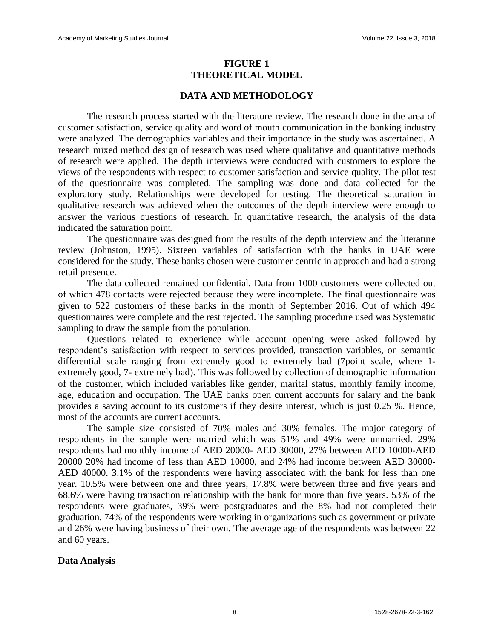#### **FIGURE 1 THEORETICAL MODEL**

#### **DATA AND METHODOLOGY**

The research process started with the literature review. The research done in the area of customer satisfaction, service quality and word of mouth communication in the banking industry were analyzed. The demographics variables and their importance in the study was ascertained. A research mixed method design of research was used where qualitative and quantitative methods of research were applied. The depth interviews were conducted with customers to explore the views of the respondents with respect to customer satisfaction and service quality. The pilot test of the questionnaire was completed. The sampling was done and data collected for the exploratory study. Relationships were developed for testing. The theoretical saturation in qualitative research was achieved when the outcomes of the depth interview were enough to answer the various questions of research. In quantitative research, the analysis of the data indicated the saturation point.

The questionnaire was designed from the results of the depth interview and the literature review (Johnston, 1995). Sixteen variables of satisfaction with the banks in UAE were considered for the study. These banks chosen were customer centric in approach and had a strong retail presence.

The data collected remained confidential. Data from 1000 customers were collected out of which 478 contacts were rejected because they were incomplete. The final questionnaire was given to 522 customers of these banks in the month of September 2016. Out of which 494 questionnaires were complete and the rest rejected. The sampling procedure used was Systematic sampling to draw the sample from the population.

Questions related to experience while account opening were asked followed by respondent's satisfaction with respect to services provided, transaction variables, on semantic differential scale ranging from extremely good to extremely bad (7point scale, where 1 extremely good, 7- extremely bad). This was followed by collection of demographic information of the customer, which included variables like gender, marital status, monthly family income, age, education and occupation. The UAE banks open current accounts for salary and the bank provides a saving account to its customers if they desire interest, which is just 0.25 %. Hence, most of the accounts are current accounts.

The sample size consisted of 70% males and 30% females. The major category of respondents in the sample were married which was 51% and 49% were unmarried. 29% respondents had monthly income of AED 20000- AED 30000, 27% between AED 10000-AED 20000 20% had income of less than AED 10000, and 24% had income between AED 30000- AED 40000. 3.1% of the respondents were having associated with the bank for less than one year. 10.5% were between one and three years, 17.8% were between three and five years and 68.6% were having transaction relationship with the bank for more than five years. 53% of the respondents were graduates, 39% were postgraduates and the 8% had not completed their graduation. 74% of the respondents were working in organizations such as government or private and 26% were having business of their own. The average age of the respondents was between 22 and 60 years.

#### **Data Analysis**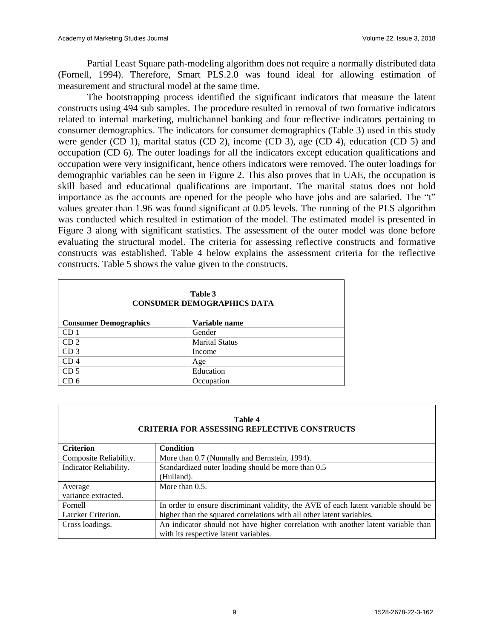Partial Least Square path-modeling algorithm does not require a normally distributed data (Fornell, 1994). Therefore, Smart PLS.2.0 was found ideal for allowing estimation of measurement and structural model at the same time.

The bootstrapping process identified the significant indicators that measure the latent constructs using 494 sub samples. The procedure resulted in removal of two formative indicators related to internal marketing, multichannel banking and four reflective indicators pertaining to consumer demographics. The indicators for consumer demographics (Table 3) used in this study were gender (CD 1), marital status (CD 2), income (CD 3), age (CD 4), education (CD 5) and occupation (CD 6). The outer loadings for all the indicators except education qualifications and occupation were very insignificant, hence others indicators were removed. The outer loadings for demographic variables can be seen in Figure 2. This also proves that in UAE, the occupation is skill based and educational qualifications are important. The marital status does not hold importance as the accounts are opened for the people who have jobs and are salaried. The "t" values greater than 1.96 was found significant at 0.05 levels. The running of the PLS algorithm was conducted which resulted in estimation of the model. The estimated model is presented in Figure 3 along with significant statistics. The assessment of the outer model was done before evaluating the structural model. The criteria for assessing reflective constructs and formative constructs was established. Table 4 below explains the assessment criteria for the reflective constructs. Table 5 shows the value given to the constructs.

| Table 3<br><b>CONSUMER DEMOGRAPHICS DATA</b> |                       |  |
|----------------------------------------------|-----------------------|--|
| <b>Consumer Demographics</b>                 | Variable name         |  |
| CD 1                                         | Gender                |  |
| CD <sub>2</sub>                              | <b>Marital Status</b> |  |
| CD <sub>3</sub>                              | Income                |  |
| CD 4                                         | Age                   |  |
| CD <sub>5</sub>                              | Education             |  |
| CD 6                                         | Occupation            |  |

| <b>Table 4</b><br><b>CRITERIA FOR ASSESSING REFLECTIVE CONSTRUCTS</b> |                                                                                     |  |  |
|-----------------------------------------------------------------------|-------------------------------------------------------------------------------------|--|--|
| <b>Criterion</b>                                                      | <b>Condition</b>                                                                    |  |  |
| Composite Reliability.                                                | More than 0.7 (Nunnally and Bernstein, 1994).                                       |  |  |
| Indicator Reliability.                                                | Standardized outer loading should be more than 0.5                                  |  |  |
|                                                                       | (Hulland).                                                                          |  |  |
| Average                                                               | More than $0.5$ .                                                                   |  |  |
| variance extracted.                                                   |                                                                                     |  |  |
| Fornell                                                               | In order to ensure discriminant validity, the AVE of each latent variable should be |  |  |
| Larcker Criterion.                                                    | higher than the squared correlations with all other latent variables.               |  |  |
| Cross loadings.                                                       | An indicator should not have higher correlation with another latent variable than   |  |  |
|                                                                       | with its respective latent variables.                                               |  |  |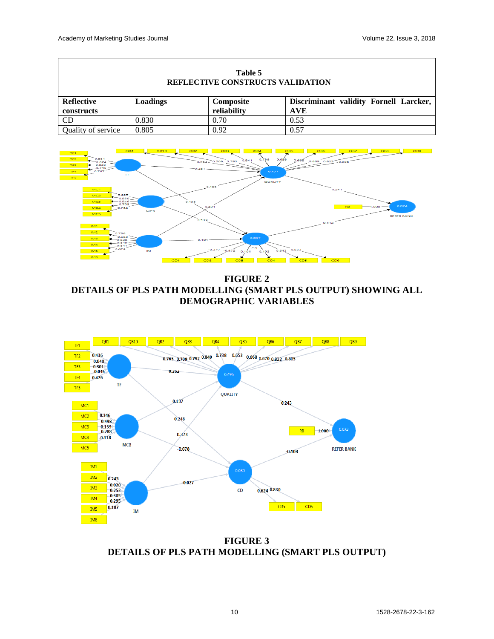| Table 5<br><b>REFLECTIVE CONSTRUCTS VALIDATION</b> |          |             |                                        |
|----------------------------------------------------|----------|-------------|----------------------------------------|
| <b>Reflective</b>                                  | Loadings | Composite   | Discriminant validity Fornell Larcker, |
| constructs                                         |          | reliability | <b>AVE</b>                             |
| <b>CD</b>                                          | 0.830    | 0.70        | 0.53                                   |
| Quality of service                                 | 0.805    | 0.92        | 0.57                                   |



**FIGURE 2 DETAILS OF PLS PATH MODELLING (SMART PLS OUTPUT) SHOWING ALL DEMOGRAPHIC VARIABLES**



**FIGURE 3 DETAILS OF PLS PATH MODELLING (SMART PLS OUTPUT)**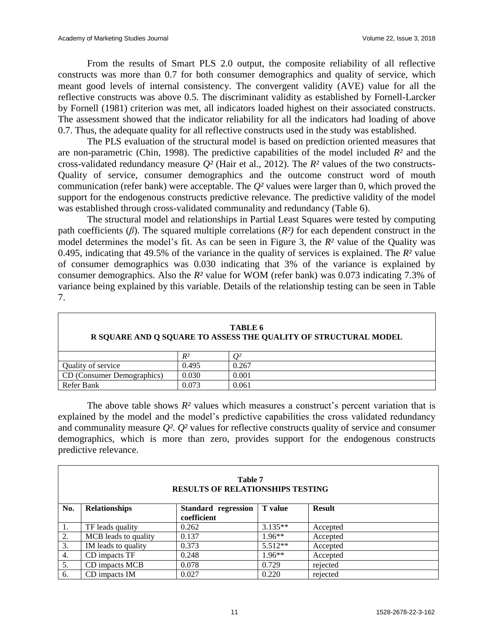From the results of Smart PLS 2.0 output, the composite reliability of all reflective constructs was more than 0.7 for both consumer demographics and quality of service, which meant good levels of internal consistency. The convergent validity (AVE) value for all the reflective constructs was above 0.5. The discriminant validity as established by Fornell-Larcker by Fornell (1981) criterion was met, all indicators loaded highest on their associated constructs. The assessment showed that the indicator reliability for all the indicators had loading of above 0.7. Thus, the adequate quality for all reflective constructs used in the study was established.

The PLS evaluation of the structural model is based on prediction oriented measures that are non-parametric (Chin, 1998). The predictive capabilities of the model included *R²* and the cross-validated redundancy measure *Q²* (Hair et al., 2012). The *R²* values of the two constructs-Quality of service, consumer demographics and the outcome construct word of mouth communication (refer bank) were acceptable. The *Q²* values were larger than 0, which proved the support for the endogenous constructs predictive relevance. The predictive validity of the model was established through cross-validated communality and redundancy (Table 6).

The structural model and relationships in Partial Least Squares were tested by computing path coefficients (*β*). The squared multiple correlations (*R²)* for each dependent construct in the model determines the model's fit. As can be seen in Figure 3, the *R²* value of the Quality was 0.495, indicating that 49.5% of the variance in the quality of services is explained. The *R²* value of consumer demographics was 0.030 indicating that 3% of the variance is explained by consumer demographics. Also the *R²* value for WOM (refer bank) was 0.073 indicating 7.3% of variance being explained by this variable. Details of the relationship testing can be seen in Table 7.

| TABLE 6<br>R SQUARE AND O SQUARE TO ASSESS THE QUALITY OF STRUCTURAL MODEL |       |       |
|----------------------------------------------------------------------------|-------|-------|
|                                                                            | $R^2$ |       |
| Quality of service                                                         | 0.495 | 0.267 |
| CD (Consumer Demographics)                                                 | 0.030 | 0.001 |
| Refer Bank                                                                 | 0.073 | 0.061 |

The above table shows *R²* values which measures a construct's percent variation that is explained by the model and the model's predictive capabilities the cross validated redundancy and communality measure *Q². Q²* values for reflective constructs quality of service and consumer demographics, which is more than zero, provides support for the endogenous constructs predictive relevance.

| Table 7<br><b>RESULTS OF RELATIONSHIPS TESTING</b> |                      |                                    |                |               |
|----------------------------------------------------|----------------------|------------------------------------|----------------|---------------|
| No.                                                | <b>Relationships</b> | Standard regression<br>coefficient | <b>T</b> value | <b>Result</b> |
| 1.                                                 | TF leads quality     | 0.262                              | $3.135**$      | Accepted      |
| 2.                                                 | MCB leads to quality | 0.137                              | $1.96**$       | Accepted      |
| 3.                                                 | IM leads to quality  | 0.373                              | $5.512**$      | Accepted      |
| 4.                                                 | CD impacts TF        | 0.248                              | $1.96**$       | Accepted      |
| 5.                                                 | CD impacts MCB       | 0.078                              | 0.729          | rejected      |
| 6.                                                 | CD impacts IM        | 0.027                              | 0.220          | rejected      |

#### 11 1528-2678-22-3-162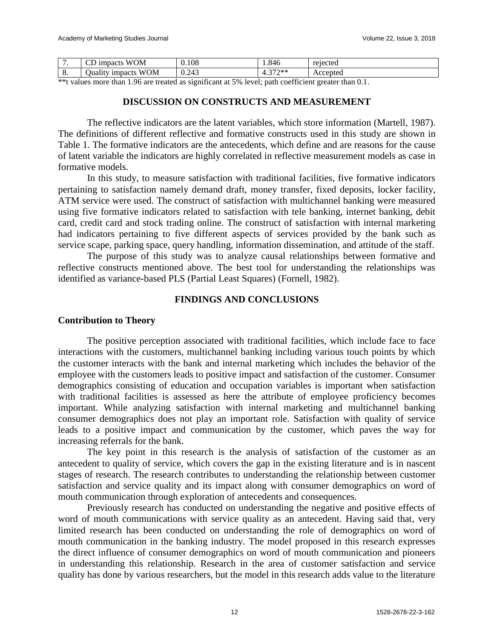|    | <b>WOM</b><br>$\sim$<br><i>s impacts</i>            | 0.108             | 1.846               | rejected |
|----|-----------------------------------------------------|-------------------|---------------------|----------|
| о. | <b>WOM</b><br>. .<br>1 <sub>mpacts</sub><br>Juality | 243<br>⌒<br>0.27J | $277$ **<br>᠇.<br>- | Accepted |

\*\*t values more than 1.96 are treated as significant at 5% level; path coefficient greater than 0.1.

### **DISCUSSION ON CONSTRUCTS AND MEASUREMENT**

The reflective indicators are the latent variables, which store information (Martell, 1987). The definitions of different reflective and formative constructs used in this study are shown in Table 1. The formative indicators are the antecedents, which define and are reasons for the cause of latent variable the indicators are highly correlated in reflective measurement models as case in formative models.

In this study, to measure satisfaction with traditional facilities, five formative indicators pertaining to satisfaction namely demand draft, money transfer, fixed deposits, locker facility, ATM service were used. The construct of satisfaction with multichannel banking were measured using five formative indicators related to satisfaction with tele banking, internet banking, debit card, credit card and stock trading online. The construct of satisfaction with internal marketing had indicators pertaining to five different aspects of services provided by the bank such as service scape, parking space, query handling, information dissemination, and attitude of the staff.

The purpose of this study was to analyze causal relationships between formative and reflective constructs mentioned above. The best tool for understanding the relationships was identified as variance-based PLS (Partial Least Squares) (Fornell, 1982).

#### **FINDINGS AND CONCLUSIONS**

#### **Contribution to Theory**

The positive perception associated with traditional facilities, which include face to face interactions with the customers, multichannel banking including various touch points by which the customer interacts with the bank and internal marketing which includes the behavior of the employee with the customers leads to positive impact and satisfaction of the customer. Consumer demographics consisting of education and occupation variables is important when satisfaction with traditional facilities is assessed as here the attribute of employee proficiency becomes important. While analyzing satisfaction with internal marketing and multichannel banking consumer demographics does not play an important role. Satisfaction with quality of service leads to a positive impact and communication by the customer, which paves the way for increasing referrals for the bank.

The key point in this research is the analysis of satisfaction of the customer as an antecedent to quality of service, which covers the gap in the existing literature and is in nascent stages of research. The research contributes to understanding the relationship between customer satisfaction and service quality and its impact along with consumer demographics on word of mouth communication through exploration of antecedents and consequences.

Previously research has conducted on understanding the negative and positive effects of word of mouth communications with service quality as an antecedent. Having said that, very limited research has been conducted on understanding the role of demographics on word of mouth communication in the banking industry. The model proposed in this research expresses the direct influence of consumer demographics on word of mouth communication and pioneers in understanding this relationship. Research in the area of customer satisfaction and service quality has done by various researchers, but the model in this research adds value to the literature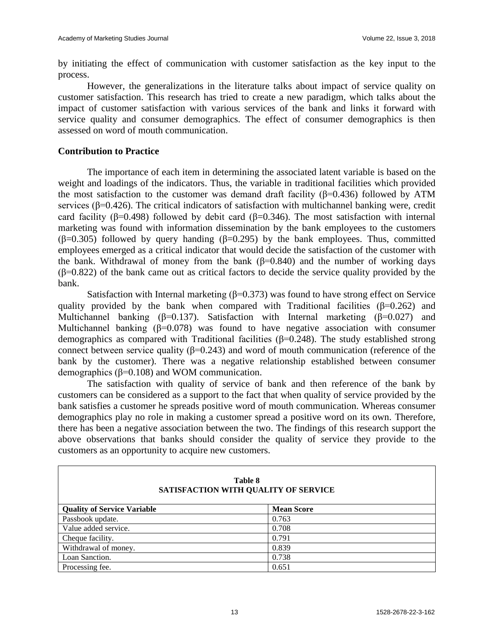by initiating the effect of communication with customer satisfaction as the key input to the process.

However, the generalizations in the literature talks about impact of service quality on customer satisfaction. This research has tried to create a new paradigm, which talks about the impact of customer satisfaction with various services of the bank and links it forward with service quality and consumer demographics. The effect of consumer demographics is then assessed on word of mouth communication.

#### **Contribution to Practice**

The importance of each item in determining the associated latent variable is based on the weight and loadings of the indicators. Thus, the variable in traditional facilities which provided the most satisfaction to the customer was demand draft facility ( $\beta$ =0.436) followed by ATM services (β=0.426). The critical indicators of satisfaction with multichannel banking were, credit card facility ( $\beta$ =0.498) followed by debit card ( $\beta$ =0.346). The most satisfaction with internal marketing was found with information dissemination by the bank employees to the customers (β=0.305) followed by query handing (β=0.295) by the bank employees. Thus, committed employees emerged as a critical indicator that would decide the satisfaction of the customer with the bank. Withdrawal of money from the bank  $(\beta=0.840)$  and the number of working days  $(\beta=0.822)$  of the bank came out as critical factors to decide the service quality provided by the bank.

Satisfaction with Internal marketing  $(\beta=0.373)$  was found to have strong effect on Service quality provided by the bank when compared with Traditional facilities ( $\beta$ =0.262) and Multichannel banking ( $\beta$ =0.137). Satisfaction with Internal marketing ( $\beta$ =0.027) and Multichannel banking  $(\beta=0.078)$  was found to have negative association with consumer demographics as compared with Traditional facilities ( $\beta$ =0.248). The study established strong connect between service quality ( $β=0.243$ ) and word of mouth communication (reference of the bank by the customer). There was a negative relationship established between consumer demographics (β=0.108) and WOM communication.

The satisfaction with quality of service of bank and then reference of the bank by customers can be considered as a support to the fact that when quality of service provided by the bank satisfies a customer he spreads positive word of mouth communication. Whereas consumer demographics play no role in making a customer spread a positive word on its own. Therefore, there has been a negative association between the two. The findings of this research support the above observations that banks should consider the quality of service they provide to the customers as an opportunity to acquire new customers.

| Table 8<br>SATISFACTION WITH QUALITY OF SERVICE |                   |  |  |
|-------------------------------------------------|-------------------|--|--|
| <b>Quality of Service Variable</b>              | <b>Mean Score</b> |  |  |
| Passbook update.                                | 0.763             |  |  |
| Value added service.                            | 0.708             |  |  |
| Cheque facility.                                | 0.791             |  |  |
| Withdrawal of money.                            | 0.839             |  |  |
| Loan Sanction.                                  | 0.738             |  |  |
| Processing fee.                                 | 0.651             |  |  |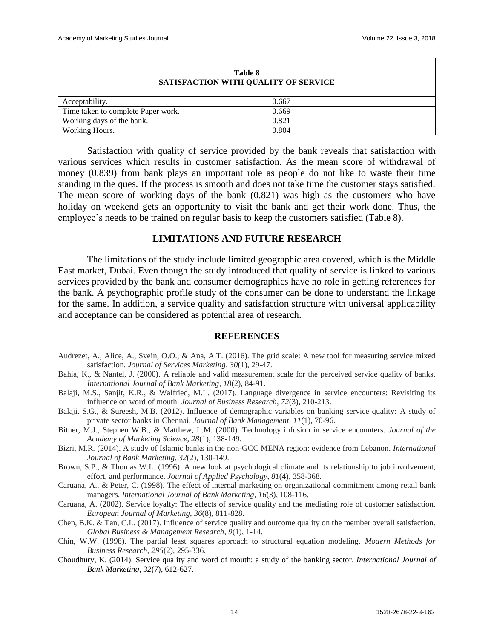| Table 8<br>SATISFACTION WITH QUALITY OF SERVICE |       |  |
|-------------------------------------------------|-------|--|
| Acceptability.                                  | 0.667 |  |
| Time taken to complete Paper work.              | 0.669 |  |
| Working days of the bank.                       | 0.821 |  |
| Working Hours.                                  | 0.804 |  |

Satisfaction with quality of service provided by the bank reveals that satisfaction with various services which results in customer satisfaction. As the mean score of withdrawal of money (0.839) from bank plays an important role as people do not like to waste their time standing in the ques. If the process is smooth and does not take time the customer stays satisfied. The mean score of working days of the bank (0.821) was high as the customers who have holiday on weekend gets an opportunity to visit the bank and get their work done. Thus, the employee's needs to be trained on regular basis to keep the customers satisfied (Table 8).

#### **LIMITATIONS AND FUTURE RESEARCH**

The limitations of the study include limited geographic area covered, which is the Middle East market, Dubai. Even though the study introduced that quality of service is linked to various services provided by the bank and consumer demographics have no role in getting references for the bank. A psychographic profile study of the consumer can be done to understand the linkage for the same. In addition, a service quality and satisfaction structure with universal applicability and acceptance can be considered as potential area of research.

#### **REFERENCES**

- Audrezet, A., Alice, A., Svein, O.O., & Ana, A.T. (2016). The grid scale: A new tool for measuring service mixed satisfaction. *Journal of Services Marketing*, *30*(1), 29-47.
- Bahia, K., & Nantel, J. (2000). A reliable and valid measurement scale for the perceived service quality of banks. *International Journal of Bank Marketing*, *18*(2), 84-91.
- Balaji, M.S., Sanjit, K.R., & Walfried, M.L. (2017). Language divergence in service encounters: Revisiting its influence on word of mouth. *Journal of Business Research*, *72*(3), 210-213.
- Balaji, S.G., & Sureesh, M.B. (2012). Influence of demographic variables on banking service quality: A study of private sector banks in Chennai. *Journal of Bank Management*, *11*(1), 70-96.
- Bitner, M.J., Stephen W.B., & Matthew, L.M. (2000). Technology infusion in service encounters. *Journal of the Academy of Marketing Science*, *28*(1), 138-149.
- Bizri, M.R. (2014). A study of Islamic banks in the non-GCC MENA region: evidence from Lebanon. *International Journal of Bank Marketing*, *32*(2), 130-149.
- Brown, S.P., & Thomas W.L. (1996). A new look at psychological climate and its relationship to job involvement, effort, and performance. *Journal of Applied Psychology*, *81*(4), 358-368.
- Caruana, A., & Peter, C. (1998). The effect of internal marketing on organizational commitment among retail bank managers. *International Journal of Bank Marketing*, *16*(3), 108-116.
- Caruana, A. (2002). Service loyalty: The effects of service quality and the mediating role of customer satisfaction. *European Journal of Marketing*, *36*(8), 811-828.
- Chen, B.K. & Tan, C.L. (2017). Influence of service quality and outcome quality on the member overall satisfaction. *Global Business & Management Research*, *9*(1), 1-14.
- Chin, W.W. (1998). The partial least squares approach to structural equation modeling. *Modern Methods for Business Research*, *295*(2), 295-336.
- Choudhury, K. (2014). Service quality and word of mouth: a study of the banking sector. *International Journal of Bank Marketing*, *32*(7), 612-627.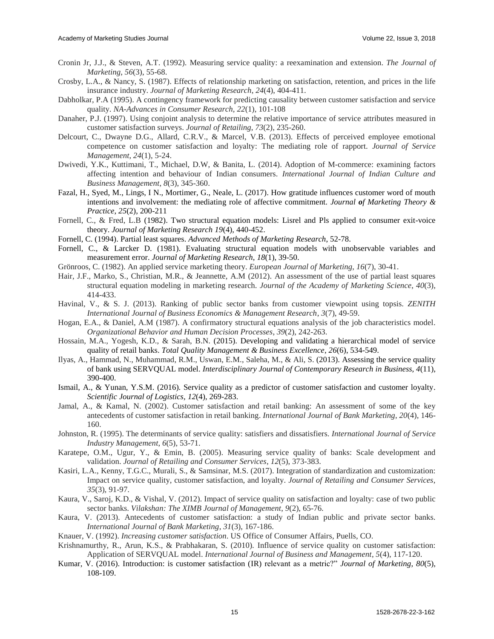- Cronin Jr, J.J., & Steven, A.T. (1992). Measuring service quality: a reexamination and extension. *The Journal of Marketing*, *56*(3), 55-68.
- Crosby, L.A., & Nancy, S. (1987). Effects of relationship marketing on satisfaction, retention, and prices in the life insurance industry. *Journal of Marketing Research*, *24*(4), 404-411.
- Dabholkar, P.A (1995). A contingency framework for predicting causality between customer satisfaction and service quality. *NA-Advances in Consumer Research, 22*(1), 101-108
- Danaher, P.J. (1997). Using conjoint analysis to determine the relative importance of service attributes measured in customer satisfaction surveys. *Journal of Retailing*, *73*(2), 235-260.
- Delcourt, C., Dwayne D.G., Allard, C.R.V., & Marcel, V.B. (2013). Effects of perceived employee emotional competence on customer satisfaction and loyalty: The mediating role of rapport. *Journal of Service Management*, *24*(1), 5-24.
- Dwivedi, Y.K., Kuttimani, T., Michael, D.W, & Banita, L. (2014). Adoption of M-commerce: examining factors affecting intention and behaviour of Indian consumers. *International Journal of Indian Culture and Business Management*, *8*(3), 345-360.
- Fazal, H., Syed, M., Lings, I N., Mortimer, G., Neale, L. (2017). How gratitude influences customer word of mouth intentions and involvement: the mediating role of affective commitment. *Journal of Marketing Theory & Practice*, *25*(2), 200-211
- Fornell, C., & Fred, L.B (1982). Two structural equation models: Lisrel and Pls applied to consumer exit-voice theory. *Journal of Marketing Research 19*(4), 440-452.
- Fornell, C. (1994). Partial least squares. *Advanced Methods of Marketing Research*, 52-78.
- Fornell, C., & Larcker D. (1981). Evaluating structural equation models with unobservable variables and measurement error. *Journal of Marketing Research*, *18*(1), 39-50.
- Grönroos, C. (1982). An applied service marketing theory. *European Journal of Marketing*, *16*(7), 30-41.
- Hair, J.F., Marko, S., Christian, M.R., & Jeannette, A.M (2012). An assessment of the use of partial least squares structural equation modeling in marketing research. *Journal of the Academy of Marketing Science*, *40*(3), 414-433.
- Havinal, V., & S. J. (2013). Ranking of public sector banks from customer viewpoint using topsis. *ZENITH International Journal of Business Economics & Management Research*, *3*(7), 49-59.
- Hogan, E.A., & Daniel, A.M (1987). A confirmatory structural equations analysis of the job characteristics model. *Organizational Behavior and Human Decision Processes*, *39*(2), 242-263.
- Hossain, M.A., Yogesh, K.D., & Sarah, B.N. (2015). Developing and validating a hierarchical model of service quality of retail banks. *Total Quality Management & Business Excellence*, *26*(6), 534-549.
- Ilyas, A., Hammad, N., Muhammad, R.M., Uswan, E.M., Saleha, M., & Ali, S. (2013). Assessing the service quality of bank using SERVQUAL model. *Interdisciplinary Journal of Contemporary Research in Business, 4*(11), 390-400.
- Ismail, A., & Yunan, Y.S.M. (2016). Service quality as a predictor of customer satisfaction and customer loyalty. *Scientific Journal of Logistics, 12*(4), 269-283.
- Jamal, A., & Kamal, N. (2002). Customer satisfaction and retail banking: An assessment of some of the key antecedents of customer satisfaction in retail banking. *International Journal of Bank Marketing*, *20*(4), 146- 160.
- Johnston, R. (1995). The determinants of service quality: satisfiers and dissatisfiers. *International Journal of Service Industry Management*, *6*(5), 53-71.
- Karatepe, O.M., Ugur, Y., & Emin, B. (2005). Measuring service quality of banks: Scale development and validation. *Journal of Retailing and Consumer Services*, *12*(5), 373-383.
- Kasiri, L.A., Kenny, T.G.C., Murali, S., & Samsinar, M.S. (2017). Integration of standardization and customization: Impact on service quality, customer satisfaction, and loyalty. *Journal of Retailing and Consumer Services*, *35*(3), 91-97.
- Kaura, V., Saroj, K.D., & Vishal, V. (2012). Impact of service quality on satisfaction and loyalty: case of two public sector banks. *Vilakshan: The XIMB Journal of Management*, *9*(2), 65-76.
- Kaura, V. (2013). Antecedents of customer satisfaction: a study of Indian public and private sector banks. *International Journal of Bank Marketing*, *31*(3), 167-186.
- Knauer, V. (1992). *Increasing customer satisfaction*. US Office of Consumer Affairs, Puells, CO.
- Krishnamurthy, R., Arun, K.S., & Prabhakaran, S. (2010). Influence of service quality on customer satisfaction: Application of SERVQUAL model. *International Journal of Business and Management*, *5*(4), 117-120.
- Kumar, V. (2016). Introduction: is customer satisfaction (IR) relevant as a metric?" *Journal of Marketing, 80*(5), 108-109.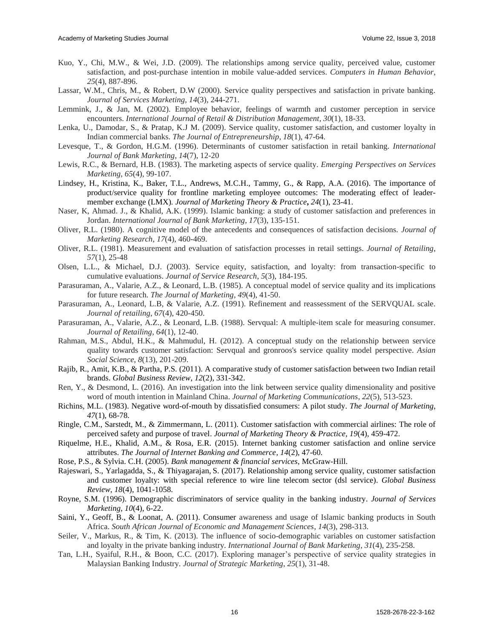- Kuo, Y., Chi, M.W., & Wei, J.D. (2009). The relationships among service quality, perceived value, customer satisfaction, and post-purchase intention in mobile value-added services. *Computers in Human Behavior*, *25*(4), 887-896.
- Lassar, W.M., Chris, M., & Robert, D.W (2000). Service quality perspectives and satisfaction in private banking. *Journal of Services Marketing*, *14*(3), 244-271.
- Lemmink, J., & Jan, M. (2002). Employee behavior, feelings of warmth and customer perception in service encounters. *International Journal of Retail & Distribution Management*, *30*(1), 18-33.
- Lenka, U., Damodar, S., & Pratap, K.J M. (2009). Service quality, customer satisfaction, and customer loyalty in Indian commercial banks. *The Journal of Entrepreneurship*, *18*(1), 47-64.
- Levesque, T., & Gordon, H.G.M. (1996). Determinants of customer satisfaction in retail banking. *International Journal of Bank Marketing*, *14*(7), 12-20
- Lewis, R.C., & Bernard, H.B. (1983). The marketing aspects of service quality. *Emerging Perspectives on Services Marketing*, *65*(4), 99-107.
- Lindsey, H., Kristina, K., Baker, T.L., Andrews, M.C.H., Tammy, G., & Rapp, A.A. (2016). The importance of product/service quality for frontline marketing employee outcomes: The moderating effect of leadermember exchange (LMX)*. Journal of Marketing Theory & Practice***,** *24*(1), 23-41.
- Naser, K, Ahmad. J., & Khalid, A.K. (1999). Islamic banking: a study of customer satisfaction and preferences in Jordan. *International Journal of Bank Marketing*, *17*(3), 135-151.
- Oliver, R.L. (1980). A cognitive model of the antecedents and consequences of satisfaction decisions. *Journal of Marketing Research*, *17*(4), 460-469.
- Oliver, R.L. (1981). Measurement and evaluation of satisfaction processes in retail settings. *Journal of Retailing*, *57*(1), 25-48
- Olsen, L.L., & Michael, D.J. (2003). Service equity, satisfaction, and loyalty: from transaction-specific to cumulative evaluations. *Journal of Service Research*, *5*(3), 184-195.
- Parasuraman, A., Valarie, A.Z., & Leonard, L.B. (1985). A conceptual model of service quality and its implications for future research. *The Journal of Marketing*, *49*(4), 41-50.
- Parasuraman, A., Leonard, L.B, & Valarie, A.Z. (1991). Refinement and reassessment of the SERVQUAL scale. *Journal of retailing*, *67*(4), 420-450.
- Parasuraman, A., Valarie, A.Z., & Leonard, L.B. (1988). Servqual: A multiple-item scale for measuring consumer. *Journal of Retailing*, *64*(1), 12-40.
- Rahman, M.S., Abdul, H.K., & Mahmudul, H. (2012). A conceptual study on the relationship between service quality towards customer satisfaction: Servqual and gronroos's service quality model perspective. *Asian Social Science*, *8*(13), 201-209.
- [Rajib,](http://journals.sagepub.com/author/Roy%2C+Rajib) R., [Amit,](http://journals.sagepub.com/author/Bhattacharya%2C+Amit+Kumar) K.B., & [Partha, P.S.](http://journals.sagepub.com/author/Sengupta%2C+Partha+Pratim) (2011). A comparative study of customer satisfaction between two Indian retail brands. *Global Business Review*, *12*(2), 331-342.
- Ren, Y., & Desmond, L. (2016). An investigation into the link between service quality dimensionality and positive word of mouth intention in Mainland China. *Journal of Marketing Communications*, *22*(5), 513-523.
- Richins, M.L. (1983). Negative word-of-mouth by dissatisfied consumers: A pilot study. *The Journal of Marketing*, *47*(1), 68-78.
- Ringle, C.M., Sarstedt, M., & Zimmermann, L. (2011). Customer satisfaction with commercial airlines: The role of perceived safety and purpose of travel. *Journal of Marketing Theory & Practice, 19*(4), 459-472.
- Riquelme, H.E., Khalid, A.M., & Rosa, E.R. (2015). Internet banking customer satisfaction and online service attributes. *The Journal of Internet Banking and Commerce, 14*(2), 47-60.
- Rose, P.S., & Sylvia. C.H. (2005). *Bank management & financial services*, McGraw-Hill.
- [Rajeswari,](http://journals.sagepub.com/author/Rajeswari%2C+S) S., [Yarlagadda,](http://journals.sagepub.com/author/Srinivasulu%2C+Yarlagadda) S., & [Thiyagarajan,](http://journals.sagepub.com/author/Thiyagarajan%2C+S) S. (2017). [Relationship among service quality, customer satisfaction](http://journals.sagepub.com/doi/full/10.1177/0972150917692405)  [and customer loyalty: with special reference to wire line](http://journals.sagepub.com/doi/full/10.1177/0972150917692405) telecom sector (dsl service). *Global Business Review*, *18*(4), 1041-1058.
- Royne, S.M. (1996). Demographic discriminators of service quality in the banking industry. *Journal of Services Marketing*, *10*(4), 6-22.
- Saini, Y., Geoff, B., & Loonat, A. (2011). Consumer awareness and usage of Islamic banking products in South Africa. *South African Journal of Economic and Management Sciences*, *14*(3), 298-313.
- Seiler, V., Markus, R., & Tim, K. (2013). The influence of socio-demographic variables on customer satisfaction and loyalty in the private banking industry. *International Journal of Bank Marketing*, *31*(4), 235-258.
- Tan, L.H., Syaiful, R.H., & Boon, C.C. (2017). Exploring manager's perspective of service quality strategies in Malaysian Banking Industry. *Journal of Strategic Marketing*, *25*(1), 31-48.